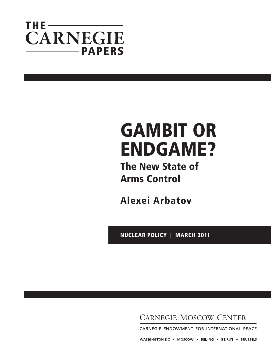## THE— **CARNEGIE** -PAPERS

# GaMBiT or eNDGaMe?

The New State of arms control

alexei arbatov

Nuclear Policy | March 2011

**CARNEGIE MOSCOW CENTER** 

CARNEGIE ENDOWMENT FOR INTERNATIONAL PEACE

WASHINGTON DC = MOSCOW = BEIJING = BEIRUT = BRUSSELS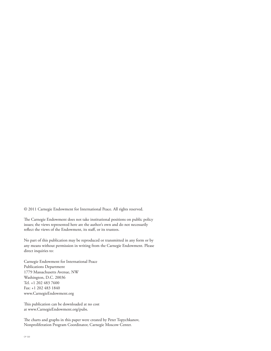© 2011 Carnegie Endowment for International Peace. All rights reserved.

The Carnegie Endowment does not take institutional positions on public policy issues; the views represented here are the author's own and do not necessarily reflect the views of the Endowment, its staff, or its trustees.

No part of this publication may be reproduced or transmitted in any form or by any means without permission in writing from the Carnegie Endowment. Please direct inquiries to:

Carnegie Endowment for International Peace Publications Department 1779 Massachusetts Avenue, NW Washington, D.C. 20036 Tel. +1 202 483 7600 Fax: +1 202 483 1840 www.CarnegieEndowment.org

This publication can be downloaded at no cost at www.CarnegieEndowment.org/pubs.

The charts and graphs in this paper were created by Peter Topychkanov, Nonproliferation Program Coordinator, Carnegie Moscow Center.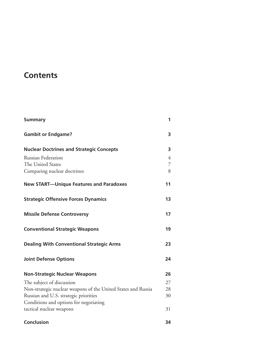## **Contents**

| <b>Summary</b>                                                                | 1                        |
|-------------------------------------------------------------------------------|--------------------------|
| <b>Gambit or Endgame?</b>                                                     | 3                        |
| <b>Nuclear Doctrines and Strategic Concepts</b>                               | 3                        |
| <b>Russian Federation</b><br>The United States<br>Comparing nuclear doctrines | $\overline{4}$<br>7<br>8 |
| <b>New START-Unique Features and Paradoxes</b>                                | 11                       |
| <b>Strategic Offensive Forces Dynamics</b>                                    | 13                       |
| <b>Missile Defense Controversy</b>                                            | 17                       |
| <b>Conventional Strategic Weapons</b>                                         | 19                       |
| <b>Dealing With Conventional Strategic Arms</b>                               | 23                       |
| <b>Joint Defense Options</b>                                                  | 24                       |
| <b>Non-Strategic Nuclear Weapons</b>                                          | 26                       |
| The subject of discussion                                                     | 27                       |
| Non-strategic nuclear weapons of the United States and Russia                 | 28                       |
| Russian and U.S. strategic priorities                                         | 30                       |
| Conditions and options for negotiating<br>tactical nuclear weapons            | 31                       |
| <b>Conclusion</b>                                                             | 34                       |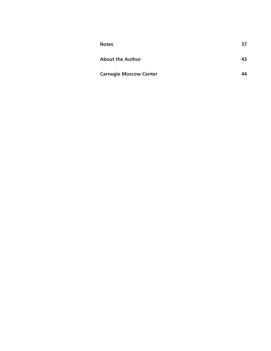| <b>Notes</b>                  | 37 |
|-------------------------------|----|
| <b>About the Author</b>       | 43 |
| <b>Carnegie Moscow Center</b> | 44 |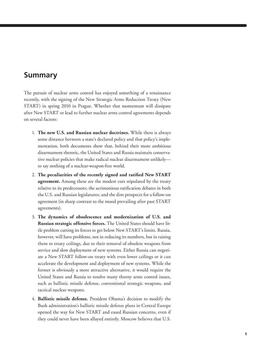### **Summary**

The pursuit of nuclear arms control has enjoyed something of a renaissance recently, with the signing of the New Strategic Arms Reduction Treaty (New START) in spring 2010 in Prague. Whether that momentum will dissipate after New START or lead to further nuclear arms control agreements depends on several factors:

- 1. **The new U.S. and Russian nuclear doctrines.** While there is always some distance between a state's declared policy and that policy's implementation, both documents show that, behind their more ambitious disarmament rhetoric, the United States and Russia maintain conservative nuclear policies that make radical nuclear disarmament unlikely to say nothing of a nuclear-weapon-free world.
- 2. **The peculiarities of the recently signed and ratified New START agreement.** Among these are the modest cuts stipulated by the treaty relative to its predecessors; the acrimonious ratification debates in both the U.S. and Russian legislatures; and the dim prospects for a follow-on agreement (in sharp contrast to the mood prevailing after past START agreements).
- 3. **The dynamics of obsolescence and modernization of U.S. and Russian strategic offensive forces.** The United States should have little problem cutting its forces to get below New START's limits. Russia, however, will have problems, not in reducing its numbers, but in raising them to treaty ceilings, due to their removal of obsolete weapons from service and slow deployment of new systems. Either Russia can negotiate a New START follow-on treaty with even lower ceilings or it can accelerate the development and deployment of new systems. While the former is obviously a more attractive alternative, it would require the United States and Russia to resolve many thorny arms control issues, such as ballistic missile defense, conventional strategic weapons, and tactical nuclear weapons.
- 4. **Ballistic missile defense.** President Obama's decision to modify the Bush administration's ballistic missile defense plans in Central Europe opened the way for New START and eased Russian concerns, even if they could never have been allayed entirely. Moscow believes that U.S.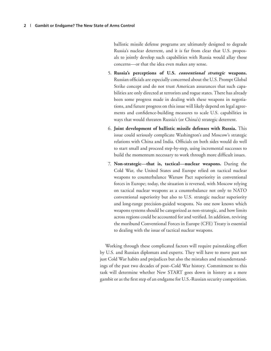ballistic missile defense programs are ultimately designed to degrade Russia's nuclear deterrent, and it is far from clear that U.S. proposals to jointly develop such capabilities with Russia would allay those concerns—or that the idea even makes any sense.

- 5. **Russia's perceptions of U.S.** *conventional strategic* **weapons.**  Russian officials are especially concerned about the U.S. Prompt Global Strike concept and do not trust American assurances that such capabilities are only directed at terrorists and rogue states. There has already been some progress made in dealing with these weapons in negotiations, and future progress on this issue will likely depend on legal agreements and confidence-building measures to scale U.S. capabilities in ways that would threaten Russia's (or China's) strategic deterrent.
- 6. **Joint development of ballistic missile defenses with Russia.** This issue could seriously complicate Washington's and Moscow's strategic relations with China and India. Officials on both sides would do well to start small and proceed step-by-step, using incremental successes to build the momentum necessary to work through more difficult issues.
- 7. **Non-strategic—that is, tactical—nuclear weapons.** During the Cold War, the United States and Europe relied on tactical nuclear weapons to counterbalance Warsaw Pact superiority in conventional forces in Europe; today, the situation is reversed, with Moscow relying on tactical nuclear weapons as a counterbalance not only to NATO conventional superiority but also to U.S. strategic nuclear superiority and long-range precision-guided weapons. No one now knows which weapons systems should be categorized as non-strategic, and how limits across regions could be accounted for and verified. In addition, reviving the moribund Conventional Forces in Europe (CFE) Treaty is essential to dealing with the issue of tactical nuclear weapons.

Working through these complicated factors will require painstaking effort by U.S. and Russian diplomats and experts. They will have to move past not just Cold War habits and prejudices but also the mistakes and misunderstandings of the past two decades of post–Cold War history. Commitment to this task will determine whether New START goes down in history as a mere gambit or as the first step of an endgame for U.S.-Russian security competition.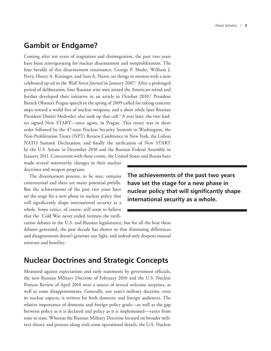## **Gambit or Endgame?**

Coming after ten years of stagnation and disintegration, the past two years have been reinvigorating for nuclear disarmament and nonproliferation. The four heralds of this disarmament renaissance, George P. Shultz, William J. Perry, Henry A. Kissinger, and Sam A. Nunn, set things in motion with a now celebrated op-ed in the *Wall Street Journal* in January 2007.<sup>1</sup> After a prolonged period of deliberation, four Russian wise men joined the American tetrad and further developed their initiative in an article in October 2010.<sup>2</sup> President Barack Obama's Prague speech in the spring of 2009 called for taking concrete steps toward a world free of nuclear weapons, and a short while later Russian President Dmitri Medvedev also took up that call.<sup>3</sup> A year later, the two leaders signed New START—once again, in Prague. This treaty was in short order followed by the 47-state Nuclear Security Summit in Washington, the Non-Proliferation Treaty (NPT) Review Conference in New York, the Lisbon NATO Summit Declaration, and finally the ratification of New START by the U.S. Senate in December 2010 and the Russian Federal Assembly in January 2011. Concurrent with these events, the United States and Russia have

made several noteworthy changes in their nuclear doctrines and weapon programs.

The disarmament process, to be sure, remains controversial and there are many potential pitfalls. But the achievements of the past two years have set the stage for a new phase in nuclear policy that will significantly shape international security as a whole. Some critics, of course, still seem to believe that the Cold War never ended (witness the ratifi**The achievements of the past two years have set the stage for a new phase in nuclear policy that will significantly shape international security as a whole.**

cation debates in the U.S. and Russian legislatures), but for all the heat these debates generated, the past decade has shown us that dismissing differences and disagreements doesn't generate any light, and indeed only deepens mutual mistrust and hostility.

#### **Nuclear Doctrines and Strategic Concepts**

Measured against expectations and early statements by government officials, the new Russian Military Doctrine of February 2010 and the U.S. Nuclear Posture Review of April 2010 were a source of several welcome surprises, as well as some disappointments. Generally, any state's military doctrine, even its nuclear aspects, is written for both domestic and foreign audiences. The relative importance of domestic and foreign policy goals—as well as the gap between policy as it is declared and policy as it is implemented—varies from state to state. Whereas the Russian Military Doctrine focused on broader military theory and posture along with some operational details, the U.S. Nuclear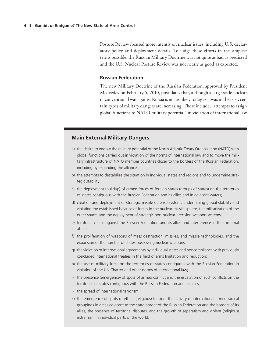Posture Review focused more intently on nuclear issues, including U.S. declaratory policy and deployment details. To judge these efforts in the simplest terms possible, the Russian Military Doctrine was not quite as bad as predicted and the U.S. Nuclear Posture Review was not nearly as good as expected.

#### **Russian Federation**

The new Military Doctrine of the Russian Federation, approved by President Medvedev on February 5, 2010, postulates that, although a large-scale nuclear or conventional war against Russia is not as likely today as it was in the past, certain types of military dangers are increasing. These include, "attempts to assign global functions to NATO military potential" in violation of international law

#### **Main External Military Dangers**

- a) the desire to endow the military potential of the North Atlantic Treaty Organization (NATO) with global functions carried out in violation of the norms of international law and to move the military infrastructure of NATO member countries closer to the borders of the Russian Federation, including by expanding the alliance;
- b) the attempts to destabilize the situation in individual states and regions and to undermine strategic stability;
- c) the deployment (buildup) of armed forces of foreign states (groups of states) on the territories of states contiguous with the Russian Federation and its allies and in adjacent waters;
- d) creation and deployment of strategic missile defense systems undermining global stability and violating the established balance of forces in the nuclear-missile sphere, the militarization of the outer space, and the deployment of strategic non-nuclear precision weapon systems;
- e) territorial claims against the Russian Federation and its allies and interference in their internal affairs;
- f) the proliferation of weapons of mass destruction, missiles, and missile technologies, and the expansion of the number of states possessing nuclear weapons;
- g) the violation of international agreements by individual states and noncompliance with previously concluded international treaties in the field of arms limitation and reduction;
- h) the use of military force on the territories of states contiguous with the Russian Federation in violation of the UN Charter and other norms of international law;
- i) the presence (emergence) of spots of armed conflict and the escalation of such conflicts on the territories of states contiguous with the Russian Federation and its allies;
- j) the spread of international terrorism;
- k) the emergence of spots of ethnic (religious) tension, the activity of international armed radical groupings in areas adjacent to the state border of the Russian Federation and the borders of its allies, the presence of territorial disputes, and the growth of separatism and violent (religious) extremism in individual parts of the world.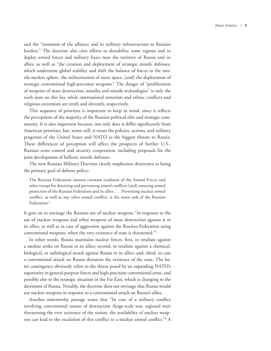and the "extension of the alliance and its military infrastructure to Russian borders." The doctrine also cites efforts to destabilize some regions and to deploy armed forces and military bases near the territory of Russia and its allies, as well as "the creation and deployment of strategic missile defenses, which undermine global stability and shift the balance of forces in the missile-nuclear sphere, the militarization of outer space, [and] the deployment of strategic conventional high-precision weapons." The danger of "proliferation of weapons of mass destruction, missiles and missile technologies" is only the sixth item on this list, while international terrorism and ethnic conflicts and religious extremism are tenth and eleventh, respectively.

This sequence of priorities is important to keep in mind, since it reflects the perceptions of the majority of the Russian political elite and strategic community. It is also important because, not only does it differ significantly from American priorities, but, worse still, it treats the policies, actions, and military programs of the United States and NATO as the biggest threats to Russia. These differences of perception will affect the prospects of further U.S.- Russian arms control and security cooperation, including proposals for the joint development of ballistic missile defenses.

The new Russian Military Doctrine clearly emphasizes deterrence as being the primary goal of defense policy:

The Russian Federation ensures constant readiness of the Armed Forces and other troops for deterring and preventing armed conflicts [and] ensuring armed protection of the Russian Federation and its allies. . . . Preventing nuclear armed conflict, as well as any other armed conflict, is the main task of the Russian Federation.<sup>4</sup>

It goes on to envisage the Russian use of nuclear weapons "in response to the use of nuclear weapons and other weapons of mass destruction against it or its allies, as well as in case of aggression against the Russian Federation using conventional weapons, when the very existence of state is threatened."5

In other words, Russia maintains nuclear forces: first, to retaliate against a nuclear strike on Russia or its allies; second, to retaliate against a chemical, biological, or radiological attack against Russia or its allies; and, third, in case a conventional attack on Russia threatens the existence of the state. The latter contingency obviously refers to the threat posed by an expanding NATO's superiority in general-purpose forces and high-precision conventional arms, and possibly also to the strategic situation in the Far East, which is changing to the detriment of Russia. Notably, the doctrine does not envisage that Russia would use nuclear weapons in response to a conventional attack on Russia's allies.

Another noteworthy passage states that "In case of a military conflict involving conventional means of destruction (large-scale war, regional war) threatening the very existence of the nation, the availability of nuclear weapons can lead to the escalation of this conflict to a nuclear armed conflict."6 A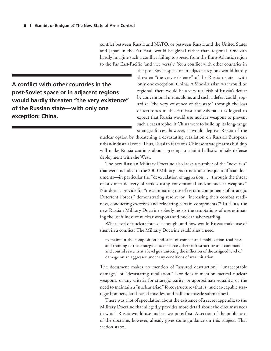conflict between Russia and NATO, or between Russia and the United States and Japan in the Far East, would be global rather than regional. One can hardly imagine such a conflict failing to spread from the Euro-Atlantic region to the Far East-Pacific (and vice versa).7 Yet a conflict with other countries in

**A conflict with other countries in the post-Soviet space or in adjacent regions would hardly threaten "the very existence" of the Russian state—with only one exception: China.**

the post-Soviet space or in adjacent regions would hardly threaten "the very existence" of the Russian state—with only one exception: China. A Sino-Russian war would be regional, there would be a very real risk of Russia's defeat by conventional means alone, and such a defeat could jeopardize "the very existence of the state" through the loss of territories in the Far East and Siberia. It is logical to expect that Russia would use nuclear weapons to prevent such a catastrophe. If China were to build up its long-range strategic forces, however, it would deprive Russia of the

nuclear option by threatening a devastating retaliation on Russia's European urban-industrial zone. Thus, Russian fears of a Chinese strategic arms buildup will make Russia cautious about agreeing to a joint ballistic missile defense deployment with the West.

The new Russian Military Doctrine also lacks a number of the "novelties" that were included in the 2000 Military Doctrine and subsequent official documents—in particular the "de-escalation of aggression . . . through the threat of or direct delivery of strikes using conventional and/or nuclear weapons." Nor does it provide for "discriminating use of certain components of Strategic Deterrent Forces," demonstrating resolve by "increasing their combat readiness, conducting exercises and relocating certain components."8 In short, the new Russian Military Doctrine soberly resists the temptations of overestimating the usefulness of nuclear weapons and nuclear saber-rattling.

What level of nuclear forces is enough, and how would Russia make use of them in a conflict? The Military Doctrine establishes a need

to maintain the composition and state of combat and mobilization readiness and training of the strategic nuclear forces, their infrastructure and command and control systems at a level guaranteeing the infliction of the assigned level of damage on an aggressor under any conditions of war initiation.

The document makes no mention of "assured destruction," "unacceptable damage," or "devastating retaliation." Nor does it mention tactical nuclear weapons, or any criteria for strategic parity, or approximate equality, or the need to maintain a "nuclear triad" force structure (that is, nuclear-capable strategic bombers, land-based missiles, and ballistic missile submarines).

There was a lot of speculation about the existence of a secret appendix to the Military Doctrine that allegedly provides more detail about the circumstances in which Russia would use nuclear weapons first. A section of the public text of the doctrine, however, already gives some guidance on this subject. That section states,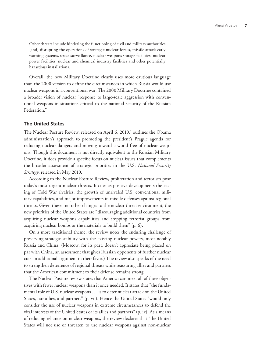Other threats include hindering the functioning of civil and military authorities [and] disrupting the operations of strategic nuclear forces, missile attack early warning systems, space surveillance, nuclear weapons storage facilities, nuclear power facilities, nuclear and chemical industry facilities and other potentially hazardous installations.

Overall, the new Military Doctrine clearly uses more cautious language than the 2000 version to define the circumstances in which Russia would use nuclear weapons in a conventional war. The 2000 Military Doctrine contained a broader vision of nuclear "response to large-scale aggression with conventional weapons in situations critical to the national security of the Russian Federation."

#### **The United States**

The Nuclear Posture Review, released on April 6, 2010,<sup>9</sup> outlines the Obama administration's approach to promoting the president's Prague agenda for reducing nuclear dangers and moving toward a world free of nuclear weapons. Though this document is not directly equivalent to the Russian Military Doctrine, it does provide a specific focus on nuclear issues that complements the broader assessment of strategic priorities in the U.S. *National Security Strategy*, released in May 2010.

According to the Nuclear Posture Review, proliferation and terrorism pose today's most urgent nuclear threats. It cites as positive developments the easing of Cold War rivalries, the growth of unrivaled U.S. conventional military capabilities, and major improvements in missile defenses against regional threats. Given these and other changes to the nuclear threat environment, the new priorities of the United States are "discouraging additional countries from acquiring nuclear weapons capabilities and stopping terrorist groups from acquiring nuclear bombs or the materials to build them" (p. 6).

On a more traditional theme, the review notes the enduring challenge of preserving strategic stability with the existing nuclear powers, most notably Russia and China. (Moscow, for its part, doesn't appreciate being placed on par with China, an assessment that gives Russian opponents of further nuclear cuts an additional argument in their favor.) The review also speaks of the need to strengthen deterrence of regional threats while reassuring allies and partners that the American commitment to their defense remains strong.

The Nuclear Posture review states that America can meet all of these objectives with fewer nuclear weapons than it once needed. It states that "the fundamental role of U.S. nuclear weapons . . . is to deter nuclear attack on the United States, our allies, and partners" (p. vii). Hence the United States "would only consider the use of nuclear weapons in extreme circumstances to defend the vital interests of the United States or its allies and partners" (p. ix). As a means of reducing reliance on nuclear weapons, the review declares that "the United States will not use or threaten to use nuclear weapons against non-nuclear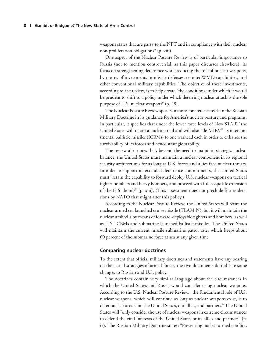weapons states that are party to the NPT and in compliance with their nuclear non-proliferation obligations" (p. viii).

One aspect of the Nuclear Posture Review is of particular importance to Russia (not to mention controversial, as this paper discusses elsewhere): its focus on strengthening deterrence while reducing the role of nuclear weapons, by means of investments in missile defenses, counter-WMD capabilities, and other conventional military capabilities. The objective of these investments, according to the review, is to help create "the conditions under which it would be prudent to shift to a policy under which deterring nuclear attack is the sole purpose of U.S. nuclear weapons" (p. 48).

The Nuclear Posture Review speaks in more concrete terms than the Russian Military Doctrine in its guidance for America's nuclear posture and programs. In particular, it specifies that under the lower force levels of New START the United States will retain a nuclear triad and will also "de-MIRV" its intercontinental ballistic missiles (ICBMs) to one warhead each in order to enhance the survivability of its forces and hence strategic stability.

The review also notes that, beyond the need to maintain strategic nuclear balance, the United States must maintain a nuclear component in its regional security architectures for as long as U.S. forces and allies face nuclear threats. In order to support its extended deterrence commitments, the United States must "retain the capability to forward deploy U.S. nuclear weapons on tactical fighter-bombers and heavy bombers, and proceed with full scope life extension of the B-61 bomb" (p. xiii). (This assessment does not preclude future decisions by NATO that might alter this policy.)

According to the Nuclear Posture Review, the United States will retire the nuclear-armed sea-launched cruise missile (TLAM-N), but it will maintain the nuclear umbrella by means of forward-deployable fighters and bombers, as well as U.S. ICBMs and submarine-launched ballistic missiles. The United States will maintain the current missile submarine patrol rate, which keeps about 60 percent of the submarine force at sea at any given time.

#### **Comparing nuclear doctrines**

To the extent that official military doctrines and statements have any bearing on the actual strategies of armed forces, the two documents do indicate some changes to Russian and U.S. policy.

The doctrines contain very similar language about the circumstances in which the United States and Russia would consider using nuclear weapons. According to the U.S. Nuclear Posture Review, "the fundamental role of U.S. nuclear weapons, which will continue as long as nuclear weapons exist, is to deter nuclear attack on the United States, our allies, and partners." The United States will "only consider the use of nuclear weapons in extreme circumstances to defend the vital interests of the United States or its allies and partners" (p. ix). The Russian Military Doctrine states: "Preventing nuclear armed conflict,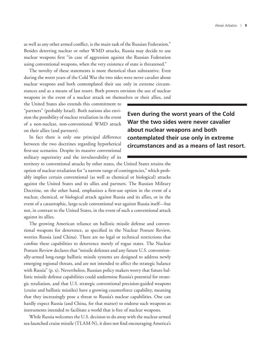as well as any other armed conflict, is the main task of the Russian Federation." Besides deterring nuclear or other WMD attacks, Russia may decide to use nuclear weapons first "in case of aggression against the Russian Federation using conventional weapons, when the very existence of state is threatened."

The novelty of these statements is more rhetorical than substantive. Even during the worst years of the Cold War the two sides were never cavalier about nuclear weapons and both contemplated their use only in extreme circumstances and as a means of last resort. Both powers envision the use of nuclear weapons in the event of a nuclear attack on themselves or their allies, and

the United States also extends this commitment to "partners" (probably Israel). Both nations also envision the possibility of nuclear retaliation in the event of a non-nuclear, non-conventional WMD attack on their allies (and partners).

In fact there is only one principal difference between the two doctrines regarding hypothetical first-use scenarios. Despite its massive conventional military superiority and the invulnerability of its **Even during the worst years of the Cold War the two sides were never cavalier about nuclear weapons and both contemplated their use only in extreme circumstances and as a means of last resort.**

territory to conventional attacks by other states, the United States retains the option of nuclear retaliation for "a narrow range of contingencies," which probably implies certain conventional (as well as chemical or biological) attacks against the United States and its allies and partners. The Russian Military Doctrine, on the other hand, emphasizes a first-use option in the event of a nuclear, chemical, or biological attack against Russia and its allies, or in the event of a catastrophic, large-scale conventional war against Russia itself—but not, in contrast to the United States, in the event of such a conventional attack against its allies.

The growing American reliance on ballistic missile defense and conventional weapons for deterrence, as specified in the Nuclear Posture Review, worries Russia (and China). There are no legal or technical restrictions that confine these capabilities to deterrence merely of rogue states. The Nuclear Posture Review declares that "missile defenses and any future U.S. conventionally-armed long-range ballistic missile systems are designed to address newly emerging regional threats, and are not intended to affect the strategic balance with Russia" (p. x). Nevertheless, Russian policy makers worry that future ballistic missile defense capabilities could undermine Russia's potential for strategic retaliation, and that U.S. strategic conventional precision-guided weapons (cruise and ballistic missiles) have a growing counterforce capability, meaning that they increasingly pose a threat to Russia's nuclear capabilities. One can hardly expect Russia (and China, for that matter) to endorse such weapons as instruments intended to facilitate a world that is free of nuclear weapons.

While Russia welcomes the U.S. decision to do away with the nuclear-armed sea-launched cruise missile (TLAM-N), it does not find encouraging America's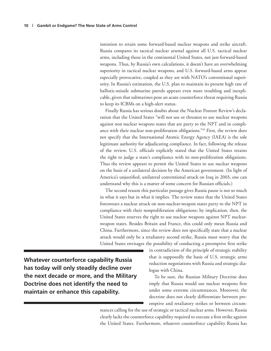intention to retain some forward-based nuclear weapons and strike aircraft. Russia compares its tactical nuclear arsenal against all U.S. tactical nuclear arms, including those in the continental United States, not just forward-based weapons. Thus, by Russia's own calculations, it doesn't have an overwhelming superiority in tactical nuclear weapons, and U.S. forward-based arms appear especially provocative, coupled as they are with NATO's conventional superiority. In Russia's estimation, the U.S. plan to maintain its present high rate of ballistic-missile submarine patrols appears even more troubling and inexplicable, given that submarines pose an acute counterforce threat requiring Russia to keep its ICBMs on a high-alert status.

Finally Russia has serious doubts about the Nuclear Posture Review's declaration that the United States "will not use or threaten to use nuclear weapons against non nuclear weapons states that are party to the NPT and in compliance with their nuclear non-proliferation obligations."10 First, the review does not specify that the International Atomic Energy Agency (IAEA) is the sole legitimate authority for adjudicating compliance. In fact, following the release of the review, U.S. officials explicitly stated that the United States retains the right to judge a state's compliance with its non-proliferation obligations. Thus the review appears to permit the United States to use nuclear weapons on the basis of a unilateral decision by the American government. (In light of America's unjustified, unilateral conventional attack on Iraq in 2003, one can understand why this is a matter of some concern for Russian officials.)

The second reason this particular passage gives Russia pause is not so much in what it says but in what it implies. The review states that the United States foreswears a nuclear attack on non-nuclear-weapon states party to the NPT in compliance with their nonproliferation obligations; by implication, then, the United States reserves the right to use nuclear weapons against NPT nuclearweapon states. Besides Britain and France, this could only mean Russia and China. Furthermore, since the review does not specifically state that a nuclear attack would only be a retaliatory second strike, Russia must worry that the United States envisages the possibility of conducting a preemptive first strike

**Whatever counterforce capability Russia has today will only steadily decline over the next decade or more, and the Military Doctrine does not identify the need to maintain or enhance this capability.**

in contradiction of the principle of strategic stability that is supposedly the basis of U.S. strategic arms reduction negotiations with Russia and strategic dialogue with China.

To be sure, the Russian Military Doctrine does imply that Russia would use nuclear weapons first under some extreme circumstances. Moreover, the doctrine does not clearly differentiate between preemptive and retaliatory strikes or between circum-

stances calling for the use of strategic or tactical nuclear arms. However, Russia clearly lacks the counterforce capability required to execute a first strike against the United States. Furthermore, whatever counterforce capability Russia has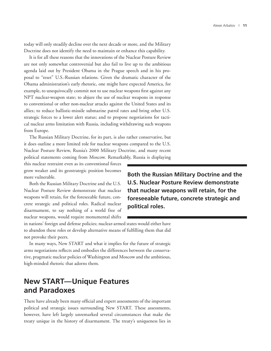today will only steadily decline over the next decade or more, and the Military Doctrine does not identify the need to maintain or enhance this capability.

It is for all these reasons that the innovations of the Nuclear Posture Review are not only somewhat controversial but also fail to live up to the ambitious agenda laid out by President Obama in the Prague speech and in his proposal to "reset" U.S.-Russian relations. Given the dramatic character of the Obama administration's early rhetoric, one might have expected America, for example, to unequivocally commit not to use nuclear weapons first against any NPT nuclear-weapon state; to abjure the use of nuclear weapons in response to conventional or other non-nuclear attacks against the United States and its allies; to reduce ballistic-missile submarine patrol rates and bring other U.S. strategic forces to a lower alert status; and to propose negotiations for tactical nuclear arms limitation with Russia, including withdrawing such weapons from Europe.

The Russian Military Doctrine, for its part, is also rather conservative, but it does outline a more limited role for nuclear weapons compared to the U.S. Nuclear Posture Review, Russia's 2000 Military Doctrine, and many recent political statements coming from Moscow. Remarkably, Russia is displaying

this nuclear restraint even as its conventional forces grow weaker and its geostrategic position becomes more vulnerable.

Both the Russian Military Doctrine and the U.S. Nuclear Posture Review demonstrate that nuclear weapons will retain, for the foreseeable future, concrete strategic and political roles. Radical nuclear disarmament, to say nothing of a world free of nuclear weapons, would require monumental shifts **Both the Russian Military Doctrine and the U.S. Nuclear Posture Review demonstrate that nuclear weapons will retain, for the foreseeable future, concrete strategic and political roles.**

in nations' foreign and defense policies; nuclear-armed states would either have to abandon these roles or develop alternative means of fulfilling them that did not provoke their peers.

In many ways, New START and what it implies for the future of strategic arms negotiations reflects and embodies the differences between the conservative, pragmatic nuclear policies of Washington and Moscow and the ambitious, high-minded rhetoric that adorns them.

## **New START—Unique Features and Paradoxes**

There have already been many official and expert assessments of the important political and strategic issues surrounding New START. These assessments, however, have left largely unremarked several circumstances that make the treaty unique in the history of disarmament. The treaty's uniqueness lies in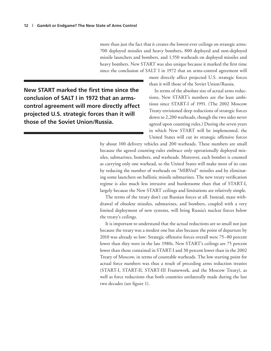more than just the fact that it creates the lowest-ever ceilings on strategic arms: 700 deployed missiles and heavy bombers, 800 deployed and non-deployed missile launchers and bombers, and 1,550 warheads on deployed missiles and heavy bombers. New START was also unique because it marked the first time since the conclusion of SALT I in 1972 that an arms-control agreement will

**New START marked the first time since the conclusion of SALT I in 1972 that an armscontrol agreement will more directly affect projected U.S. strategic forces than it will those of the Soviet Union/Russia.**

more directly affect projected U.S. strategic forces than it will those of the Soviet Union/Russia.

In terms of the absolute size of actual arms reductions, New START's numbers are the least ambitious since START-I of 1991. (The 2002 Moscow Treaty envisioned deep reductions of strategic forces down to 2,200 warheads, though the two sides never agreed upon counting rules.) During the seven years in which New START will be implemented, the United States will cut its strategic offensive forces

by about 100 delivery vehicles and 200 warheads. These numbers are small because the agreed counting rules embrace only operationally deployed missiles, submarines, bombers, and warheads. Moreover, each bomber is counted as carrying only one warhead, so the United States will make most of its cuts by reducing the number of warheads on "MIRVed" missiles and by eliminating some launchers on ballistic missile submarines. The new treaty verification regime is also much less intrusive and burdensome than that of START-I, largely because the New START ceilings and limitations are relatively simple.

The terms of the treaty don't cut Russian forces at all. Instead, mass withdrawal of obsolete missiles, submarines, and bombers, coupled with a very limited deployment of new systems, will bring Russia's nuclear forces below the treaty's ceilings.

It is important to understand that the actual reductions are so small not just because the treaty was a modest one but also because the point of departure by 2010 was already so low: Strategic offensive forces overall were 75–80 percent lower than they were in the late 1980s. New START's ceilings are 75 percent lower than those contained in START-I and 30 percent lower than in the 2002 Treaty of Moscow, in terms of countable warheads. The low starting point for actual force numbers was thus a result of preceding arms reduction treaties (START-I, START-II, START-III Framework, and the Moscow Treaty), as well as force reductions that both countries unilaterally made during the last two decades (see figure 1).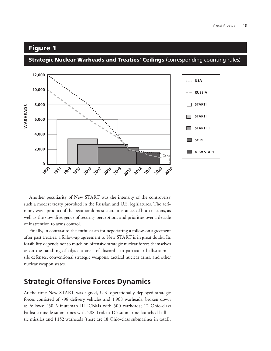#### Figure 1

**Strategic Nuclear Warheads and Treaties' Ceilings** (corresponding counting rules)



Another peculiarity of New START was the intensity of the controversy such a modest treaty provoked in the Russian and U.S. legislatures. The acrimony was a product of the peculiar domestic circumstances of both nations, as well as the slow divergence of security perceptions and priorities over a decade of inattention to arms control.

Finally, in contrast to the enthusiasm for negotiating a follow-on agreement after past treaties, a follow-up agreement to New START is in great doubt. Its feasibility depends not so much on offensive strategic nuclear forces themselves as on the handling of adjacent areas of discord—in particular ballistic missile defenses, conventional strategic weapons, tactical nuclear arms, and other nuclear weapon states.

### **Strategic Offensive Forces Dynamics**

At the time New START was signed, U.S. operationally deployed strategic forces consisted of 798 delivery vehicles and 1,968 warheads, broken down as follows: 450 Minuteman III ICBMs with 500 warheads; 12 Ohio-class ballistic-missile submarines with 288 Trident D5 submarine-launched ballistic missiles and 1,152 warheads (there are 18 Ohio-class submarines in total);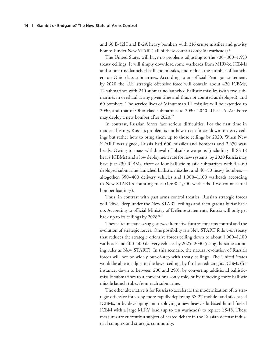and 60 B-52H and B-2A heavy bombers with 316 cruise missiles and gravity bombs (under New START, all of these count as only 60 warheads).<sup>11</sup>

The United States will have no problems adjusting to the 700–800–1,550 treaty ceilings. It will simply download some warheads from MIRVed ICBMs and submarine-launched ballistic missiles, and reduce the number of launchers on Ohio-class submarines. According to an official Pentagon statement, by 2020 the U.S. strategic offensive force will contain about 420 ICBMs, 12 submarines with 240 submarine-launched ballistic missiles (with two submarines in overhaul at any given time and thus not counted as deployed), and 60 bombers. The service lives of Minuteman III missiles will be extended to 2030, and that of Ohio-class submarines to 2030–2040. The U.S. Air Force may deploy a new bomber after 2020.12

In contrast, Russian forces face serious difficulties. For the first time in modern history, Russia's problem is not how to cut forces down to treaty ceilings but rather how to bring them up to those ceilings by 2020. When New START was signed, Russia had 600 missiles and bombers and 2,670 warheads. Owing to mass withdrawal of obsolete weapons (including all SS-18 heavy ICBMs) and a low deployment rate for new systems, by 2020 Russia may have just 230 ICBMs, three or four ballistic missile submarines with 44–60 deployed submarine-launched ballistic missiles, and 40–50 heavy bombers altogether, 350–400 delivery vehicles and 1,000–1,100 warheads according to New START's counting rules (1,400–1,500 warheads if we count actual bomber loadings).

Thus, in contrast with past arms control treaties, Russian strategic forces will "dive" deep under the New START ceilings and then gradually rise back up. According to official Ministry of Defense statements, Russia will only get back up to its ceilings by 2028!<sup>13</sup>

These circumstances suggest two alternative futures for arms control and the evolution of strategic forces. One possibility is a New START follow-on treaty that reduces the strategic offensive forces ceiling down to about 1,000–1,100 warheads and 400–500 delivery vehicles by 2025–2030 (using the same counting rules as New START). In this scenario, the natural evolution of Russia's forces will not be widely out-of-step with treaty ceilings. The United States would be able to adjust to the lower ceilings by further reducing its ICBMs (for instance, down to between 200 and 250), by converting additional ballisticmissile submarines to a conventional-only role, or by removing more ballistic missile launch tubes from each submarine.

The other alternative is for Russia to accelerate the modernization of its strategic offensive forces by more rapidly deploying SS-27 mobile- and silo-based ICBMs, or by developing and deploying a new heavy silo-based liquid-fueled ICBM with a large MIRV load (up to ten warheads) to replace SS-18. These measures are currently a subject of heated debate in the Russian defense industrial complex and strategic community.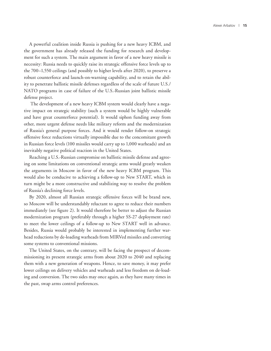A powerful coalition inside Russia is pushing for a new heavy ICBM, and the government has already released the funding for research and development for such a system. The main argument in favor of a new heavy missile is necessity: Russia needs to quickly raise its strategic offensive force levels up to the 700–1,550 ceilings (and possibly to higher levels after 2020), to preserve a robust counterforce and launch-on-warning capability, and to retain the ability to penetrate ballistic missile defenses regardless of the scale of future U.S./ NATO programs in case of failure of the U.S.-Russian joint ballistic missile defense project.

 The development of a new heavy ICBM system would clearly have a negative impact on strategic stability (such a system would be highly vulnerable and have great counterforce potential). It would siphon funding away from other, more urgent defense needs like military reform and the modernization of Russia's general purpose forces. And it would render follow-on strategic offensive force reductions virtually impossible due to the concomitant growth in Russian force levels (100 missiles would carry up to 1,000 warheads) and an inevitably negative political reaction in the United States.

Reaching a U.S.-Russian compromise on ballistic missile defense and agreeing on some limitations on conventional strategic arms would greatly weaken the arguments in Moscow in favor of the new heavy ICBM program. This would also be conducive to achieving a follow-up to New START, which in turn might be a more constructive and stabilizing way to resolve the problem of Russia's declining force levels.

By 2020, almost all Russian strategic offensive forces will be brand new, so Moscow will be understandably reluctant to agree to reduce their numbers immediately (see figure 2). It would therefore be better to adjust the Russian modernization program (preferably through a higher SS-27 deployment rate) to meet the lower ceilings of a follow-up to New START well in advance. Besides, Russia would probably be interested in implementing further warhead reductions by de-loading warheads from MIRVed missiles and converting some systems to conventional missions.

The United States, on the contrary, will be facing the prospect of decommissioning its present strategic arms from about 2020 to 2040 and replacing them with a new generation of weapons. Hence, to save money, it may prefer lower ceilings on delivery vehicles and warheads and less freedom on de-loading and conversion. The two sides may once again, as they have many times in the past, swap arms control preferences.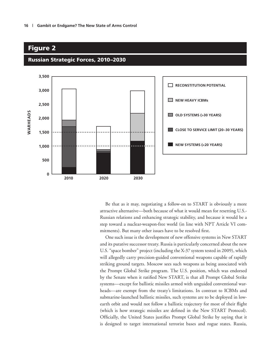

#### Russian Strategic Forces, 2010–2030

Figure 2

Be that as it may, negotiating a follow-on to START is obviously a more attractive alternative—both because of what it would mean for resetting U.S.- Russian relations and enhancing strategic stability, and because it would be a step toward a nuclear-weapon-free world (in line with NPT Article VI commitments). But many other issues have to be resolved first.

One such issue is the development of new offensive systems in New START and its putative successor treaty. Russia is particularly concerned about the new U.S. "space bomber" project (including the X-37 system tested in 2009), which will allegedly carry precision-guided conventional weapons capable of rapidly striking ground targets. Moscow sees such weapons as being associated with the Prompt Global Strike program. The U.S. position, which was endorsed by the Senate when it ratified New START, is that all Prompt Global Strike systems—except for ballistic missiles armed with unguided conventional warheads—are exempt from the treaty's limitations. In contrast to ICBMs and submarine-launched ballistic missiles, such systems are to be deployed in lowearth orbit and would not follow a ballistic trajectory for most of their flight (which is how strategic missiles are defined in the New START Protocol). Officially, the United States justifies Prompt Global Strike by saying that it is designed to target international terrorist bases and rogue states. Russia,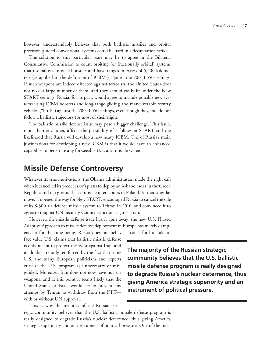however, understandably believes that both ballistic missiles and orbital precision-guided conventional systems could be used in a decapitation strike.

The solution to this particular issue may be to agree in the Bilateral Consultative Commission to count orbiting (or fractionally orbital) systems that use ballistic missile boosters and have ranges in excess of 5,500 kilometers (as applied to the definition of ICBMs) against the 700–1,550 ceilings. If such weapons are indeed directed against terrorists, the United States does not need a large number of them, and they should easily fit under the New START ceilings. Russia, for its part, would agree to include possible new systems using ICBM boosters and long-range gliding and maneuverable reentry vehicles ("birds") against the 700–1,550 ceilings, even though they, too, do not follow a ballistic trajectory for most of their flight.

The ballistic missile defense issue may pose a bigger challenge. This issue, more than any other, affects the possibility of a follow-on START and the likelihood that Russia will develop a new heavy ICBM. One of Russia's main justifications for developing a new ICBM is that it would have an enhanced capability to penetrate any foreseeable U.S. anti-missile system.

#### **Missile Defense Controversy**

Whatever its true motivations, the Obama administration made the right call when it cancelled its predecessor's plans to deploy an X-band radar in the Czech Republic and ten ground-based missile interceptors in Poland. In that singular move, it opened the way for New START, encouraged Russia to cancel the sale of its S-300 air defense missile system to Tehran in 2010, and convinced it to agree to tougher UN Security Council sanctions against Iran.

However, the missile defense issue hasn't gone away; the new U.S. Phased Adaptive Approach to missile defense deployment in Europe has merely damp-

ened it for the time being. Russia does not believe it can afford to take at face value U.S. claims that ballistic missile defense is only meant to protect the West against Iran, and its doubts are only reinforced by the fact that some U.S. and many European politicians and experts criticize the U.S. program as unnecessary or misguided. Moreover, Iran does not now have nuclear weapons, and at this point it seems likely that the United States or Israel would act to prevent any attempt by Tehran to withdraw from the NPT with or without UN approval.

This is why the majority of the Russian stra-

tegic community believes that the U.S. ballistic missile defense program is really designed to degrade Russia's nuclear deterrence, thus giving America strategic superiority and an instrument of political pressure. One of the most

**The majority of the Russian strategic community believes that the U.S. ballistic missile defense program is really designed to degrade Russia's nuclear deterrence, thus giving America strategic superiority and an instrument of political pressure.**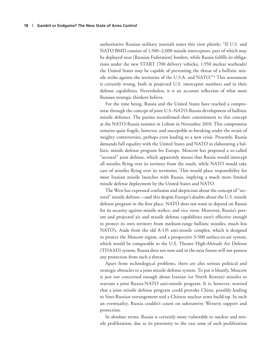authoritative Russian military journals states this view plainly: "If U.S. and NATO BMD consists of 1,500–2,000 missile interceptors, part of which may be deployed near [Russian Federation] borders, while Russia fulfills its obligations under the new START (700 delivery vehicles, 1,550 nuclear warheads) the United States may be capable of preventing the threat of a ballistic missile strike against the territories of the U.S.A. and NATO."14 This assessment is certainly wrong, both in projected U.S. interceptor numbers and in their defense capabilities. Nevertheless, it is an accurate reflection of what most Russian strategic thinkers believe.

For the time being, Russia and the United States have reached a compromise through the concept of joint U.S.-NATO-Russia development of ballistic missile defenses. The parties reconfirmed their commitment to this concept at the NATO-Russia summit in Lisbon in November 2010. This compromise remains quite fragile, however, and susceptible to breaking under the strain of weighty controversies, perhaps even leading to a new crisis. Presently, Russia demands full equality with the United States and NATO in elaborating a ballistic missile defense program for Europe. Moscow has proposed a so-called "sectoral" joint defense, which apparently means that Russia would intercept all missiles flying over its territory from the south, while NATO would take care of missiles flying over its territories. This would place responsibility for most Iranian missile launches with Russia, implying a much more limited missile defense deployment by the United States and NATO.

The West has expressed confusion and skepticism about the concept of "sectoral" missile defense—and this despite Europe's doubts about the U.S. missile defense program in the first place. NATO does not want to depend on Russia for its security against missile strikes, and vice versa. Moreover, Russia's present and projected air and missile defense capabilities aren't effective enough to protect its own territory from medium-range ballistic missiles, much less NATO's. Aside from the old A-135 anti-missile complex, which is designed to protect the Moscow region, and a prospective S-500 surface-to-air system, which would be comparable to the U.S. Theater High-Altitude Air Defense (THAAD) system, Russia does not now and in the near future will not possess any protection from such a threat.

Apart from technological problems, there are also serious political and strategic obstacles to a joint missile defense system. To put it bluntly, Moscow is just not concerned enough about Iranian (or North Korean) missiles to warrant a joint Russia-NATO anti-missile program. It is, however, worried that a joint missile defense program could provoke China, possibly leading to Sino-Russian estrangement and a Chinese nuclear arms build-up. In such an eventuality, Russia couldn't count on substantive Western support and protection.

In absolute terms, Russia is certainly more vulnerable to nuclear and missile proliferation, due to its proximity to the vast zone of such proliferation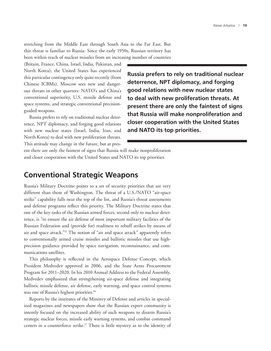stretching from the Middle East through South Asia to the Far East. But this threat is familiar to Russia: Since the early 1950s, Russian territory has been within reach of nuclear missiles from an increasing number of countries

(Britain, France, China, Israel, India, Pakistan, and North Korea); the United States has experienced this particular contingency only quite recently (from Chinese ICBMs). Moscow sees new and dangerous threats in other quarters: NATO's and China's conventional superiority, U.S. missile defense and space systems, and strategic conventional precisionguided weapons.

Russia prefers to rely on traditional nuclear deterrence, NPT diplomacy, and forging good relations with new nuclear states (Israel, India, Iran, and North Korea) to deal with new proliferation threats. This attitude may change in the future, but at pres**Russia prefers to rely on traditional nuclear deterrence, NPT diplomacy, and forging good relations with new nuclear states to deal with new proliferation threats. At present there are only the faintest of signs that Russia will make nonproliferation and closer cooperation with the United States and NATO its top priorities.**

ent there are only the faintest of signs that Russia will make nonproliferation and closer cooperation with the United States and NATO its top priorities.

#### **Conventional Strategic Weapons**

Russia's Military Doctrine points to a set of security priorities that are very different than those of Washington. The threat of a U.S./NATO "air-space strike" capability falls near the top of the list, and Russia's threat assessments and defense programs reflect this priority. The Military Doctrine states that one of the key tasks of the Russian armed forces, second only to nuclear deterrence, is "to ensure the air defense of most important military facilities of the Russian Federation and (provide for) readiness to rebuff strikes by means of air and space attack."15 The notion of "air and space attack" apparently refers to conventionally armed cruise missiles and ballistic missiles that use highprecision guidance provided by space navigation, reconnaissance, and communications satellites.

This philosophy is reflected in the Aerospace Defense Concept, which President Medvedev approved in 2006, and the State Arms Procurement Program for 2011–2020. In his 2010 Annual Address to the Federal Assembly, Medvedev emphasized that strengthening air-space defense and integrating ballistic missile defense, air defense, early warning, and space control systems was one of Russia's highest priorities.<sup>16</sup>

Reports by the institutes of the Ministry of Defense and articles in specialized magazines and newspapers show that the Russian expert community is intently focused on the increased ability of such weapons to disarm Russia's strategic nuclear forces, missile early warning systems, and combat command centers in a counterforce strike.17 There is little mystery as to the identity of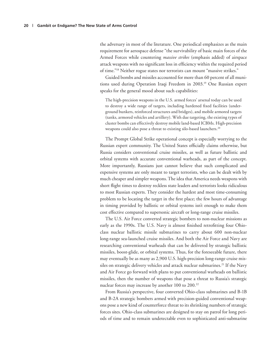the adversary in most of the literature. One periodical emphasizes as the main requirement for aerospace defense "the survivability of basic main forces of the Armed Forces while countering *massive strikes* (emphasis added) of airspace attack weapons with no significant loss in efficiency within the required period of time."18 Neither rogue states nor terrorists can mount "massive strikes."

Guided bombs and missiles accounted for more than 60 percent of all munitions used during Operation Iraqi Freedom in 2003.19 One Russian expert speaks for the general mood about such capabilities:

The high-precision weapons in the U.S. armed forces' arsenal today can be used to destroy a wide range of targets, including hardened fixed facilities (underground bunkers, reinforced structures and bridges), and mobile armored targets (tanks, armored vehicles and artillery). With due targeting, the existing types of cluster bombs can effectively destroy mobile land-based ICBMs. High-precision weapons could also pose a threat to existing silo-based launchers.<sup>20</sup>

The Prompt Global Strike operational concept is especially worrying to the Russian expert community. The United States officially claims otherwise, but Russia considers conventional cruise missiles, as well as future ballistic and orbital systems with accurate conventional warheads, as part of the concept. More importantly, Russians just cannot believe that such complicated and expensive systems are only meant to target terrorists, who can be dealt with by much cheaper and simpler weapons. The idea that America needs weapons with short flight times to destroy reckless state leaders and terrorists looks ridiculous to most Russian experts. They consider the hardest and most time-consuming problem to be locating the target in the first place; the few hours of advantage in timing provided by ballistic or orbital systems isn't enough to make them cost effective compared to supersonic aircraft or long-range cruise missiles.

The U.S. Air Force converted strategic bombers to non-nuclear missions as early as the 1990s. The U.S. Navy is almost finished retrofitting four Ohioclass nuclear ballistic missile submarines to carry about 600 non-nuclear long-range sea-launched cruise missiles. And both the Air Force and Navy are researching conventional warheads that can be delivered by strategic ballistic missiles, boost-glide, or orbital systems. Thus, for the foreseeable future, there may eventually be as many as 2,900 U.S. high-precision long-range cruise missiles on strategic delivery vehicles and attack nuclear submarines.<sup>21</sup> If the Navy and Air Force go forward with plans to put conventional warheads on ballistic missiles, then the number of weapons that pose a threat to Russia's strategic nuclear forces may increase by another 100 to 200.<sup>22</sup>

From Russia's perspective, four converted Ohio-class submarines and B-1B and B-2A strategic bombers armed with precision-guided conventional weapons pose a new kind of counterforce threat to its shrinking numbers of strategic forces sites. Ohio-class submarines are designed to stay on patrol for long periods of time and to remain undetectable even to sophisticated anti-submarine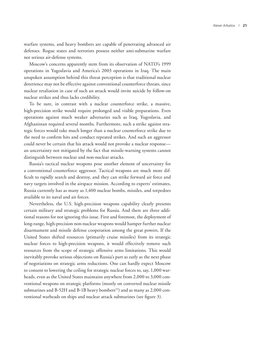warfare systems, and heavy bombers are capable of penetrating advanced air defenses. Rogue states and terrorists possess neither anti-submarine warfare nor serious air-defense systems.

Moscow's concerns apparently stem from its observation of NATO's 1999 operations in Yugoslavia and America's 2003 operations in Iraq. The main unspoken assumption behind this threat perception is that traditional nuclear deterrence may not be effective against conventional counterforce threats, since nuclear retaliation in case of such an attack would invite suicide by follow-on nuclear strikes and thus lacks credibility.

To be sure, in contrast with a nuclear counterforce strike, a massive, high-precision strike would require prolonged and visible preparations. Even operations against much weaker adversaries such as Iraq, Yugoslavia, and Afghanistan required several months. Furthermore, such a strike against strategic forces would take much longer than a nuclear counterforce strike due to the need to confirm hits and conduct repeated strikes. And such an aggressor could never be certain that his attack would not provoke a nuclear response an uncertainty not mitigated by the fact that missile-warning systems cannot distinguish between nuclear and non-nuclear attacks.

Russia's tactical nuclear weapons pose another element of uncertainty for a conventional counterforce aggressor. Tactical weapons are much more difficult to rapidly search and destroy, and they can strike forward air force and navy targets involved in the airspace mission. According to experts' estimates, Russia currently has as many as 1,400 nuclear bombs, missiles, and torpedoes available to its naval and air forces.

Nevertheless, the U.S. high-precision weapons capability clearly presents certain military and strategic problems for Russia. And there are three additional reasons for not ignoring this issue. First and foremost, the deployment of long-range, high-precision non-nuclear weapons would hamper further nuclear disarmament and missile defense cooperation among the great powers. If the United States shifted resources (primarily cruise missiles) from its strategic nuclear forces to high-precision weapons, it would effectively remove such resources from the scope of strategic offensive arms limitations. This would inevitably provoke serious objections on Russia's part as early as the next phase of negotiations on strategic arms reductions. One can hardly expect Moscow to consent to lowering the ceiling for strategic nuclear forces to, say, 1,000 warheads, even as the United States maintains anywhere from 2,000 to 3,000 conventional weapons on strategic platforms (mostly on converted nuclear missile submarines and B-52H and B-1B heavy bombers<sup>23</sup>) and as many as  $2,000$  conventional warheads on ships and nuclear attack submarines (see figure 3).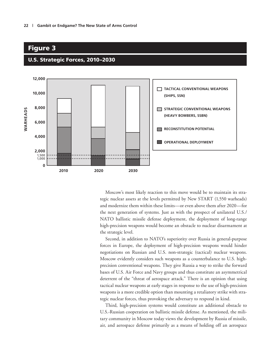#### Figure 3



#### U.S. Strategic Forces, 2010–2030

Moscow's most likely reaction to this move would be to maintain its strategic nuclear assets at the levels permitted by New START (1,550 warheads) and modernize them within these limits—or even above them after 2020—for the next generation of systems. Just as with the prospect of unilateral U.S./ NATO ballistic missile defense deployment, the deployment of long-range high-precision weapons would become an obstacle to nuclear disarmament at the strategic level.

Second, in addition to NATO's superiority over Russia in general-purpose forces in Europe, the deployment of high-precision weapons would hinder negotiations on Russian and U.S. non-strategic (tactical) nuclear weapons. Moscow evidently considers such weapons as a counterbalance to U.S. highprecision conventional weapons. They give Russia a way to strike the forward bases of U.S. Air Force and Navy groups and thus constitute an asymmetrical deterrent of the "threat of aerospace attack." There is an opinion that using tactical nuclear weapons at early stages in response to the use of high-precision weapons is a more credible option than mounting a retaliatory strike with strategic nuclear forces, thus provoking the adversary to respond in kind.

Third*,* high-precision systems would constitute an additional obstacle to U.S.-Russian cooperation on ballistic missile defense. As mentioned, the military community in Moscow today views the development by Russia of missile, air, and aerospace defense primarily as a means of holding off an aerospace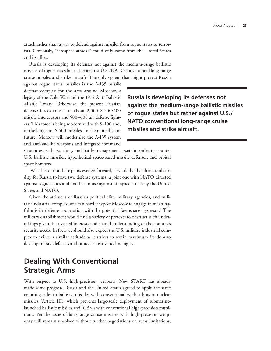attack rather than a way to defend against missiles from rogue states or terrorists. Obviously, "aerospace attacks" could only come from the United States and its allies.

Russia is developing its defenses not against the medium-range ballistic missiles of rogue states but rather against U.S./NATO conventional long-range cruise missiles and strike aircraft. The only system that might protect Russia

against rogue states' missiles is the A-135 missile defense complex for the area around Moscow, a legacy of the Cold War and the 1972 Anti-Ballistic Missile Treaty. Otherwise, the present Russian defense forces consist of about 2,000 S-300/400 missile interceptors and 500–600 air defense fighters. This force is being modernized with S-400 and, in the long run, S-500 missiles. In the more distant future, Moscow will modernize the A-135 system and anti-satellite weapons and integrate command

**Russia is developing its defenses not against the medium-range ballistic missiles of rogue states but rather against U.S./ NATO conventional long-range cruise missiles and strike aircraft.**

structures, early warning, and battle-management assets in order to counter U.S. ballistic missiles, hypothetical space-based missile defenses, and orbital space bombers.

 Whether or not these plans ever go forward, it would be the ultimate absurdity for Russia to have two defense systems: a joint one with NATO directed against rogue states and another to use against air-space attack by the United States and NATO.

Given the attitudes of Russia's political elite, military agencies, and military industrial complex, one can hardly expect Moscow to engage in meaningful missile defense cooperation with the potential "aerospace aggressor." The military establishment would find a variety of pretexts to obstruct such undertakings given their vested interests and shared understanding of the country's security needs. In fact, we should also expect the U.S. military industrial complex to evince a similar attitude as it strives to retain maximum freedom to develop missile defenses and protect sensitive technologies.

## **Dealing With Conventional Strategic Arms**

With respect to U.S. high-precision weapons, New START has already made some progress. Russia and the United States agreed to apply the same counting rules to ballistic missiles with conventional warheads as to nuclear missiles (Article III), which prevents large-scale deployment of submarinelaunched ballistic missiles and ICBMs with conventional high-precision munitions. Yet the issue of long-range cruise missiles with high-precision weaponry will remain unsolved without further negotiations on arms limitations,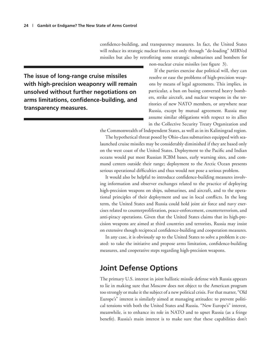confidence-building, and transparency measures. In fact, the United States will reduce its strategic nuclear forces not only through "de-loading" MIRVed missiles but also by retrofitting some strategic submarines and bombers for non-nuclear cruise missiles (see figure 3).

**The issue of long-range cruise missiles with high-precision weaponry will remain unsolved without further negotiations on arms limitations, confidence-building, and transparency measures.**

If the parties exercise due political will, they can resolve or ease the problems of high-precision weapons by means of legal agreements. This implies, in particular, a ban on basing converted heavy bombers, strike aircraft, and nuclear weapons in the territories of new NATO members, or anywhere near Russia, except by mutual agreement. Russia may assume similar obligations with respect to its allies in the Collective Security Treaty Organization and

the Commonwealth of Independent States, as well as in its Kaliningrad region.

The hypothetical threat posed by Ohio-class submarines equipped with sealaunched cruise missiles may be considerably diminished if they are based only on the west coast of the United States. Deployment to the Pacific and Indian oceans would put most Russian ICBM bases, early warning sites, and command centers outside their range; deployment to the Arctic Ocean presents serious operational difficulties and thus would not pose a serious problem.

It would also be helpful to introduce confidence-building measures involving information and observer exchanges related to the practice of deploying high-precision weapons on ships, submarines, and aircraft, and to the operational principles of their deployment and use in local conflicts. In the long term, the United States and Russia could hold joint air force and navy exercises related to counterproliferation, peace-enforcement, counterterrorism, and anti-piracy operations. Given that the United States claims that its high-precision weapons are aimed at third countries and terrorists, Russia may insist on extensive though reciprocal confidence-building and cooperation measures.

In any case, it is obviously up to the United States to solve a problem it created: to take the initiative and propose arms limitation, confidence-building measures, and cooperative steps regarding high-precision weapons.

## **Joint Defense Options**

The primary U.S. interest in joint ballistic missile defense with Russia appears to lie in making sure that Moscow does not object to the American program too strongly or make it the subject of a new political crisis. For that matter, "Old Europe's" interest is similarly aimed at managing attitudes: to prevent political tensions with both the United States and Russia. "New Europe's" interest, meanwhile, is to enhance its role in NATO and to upset Russia (as a fringe benefit). Russia's main interest is to make sure that these capabilities don't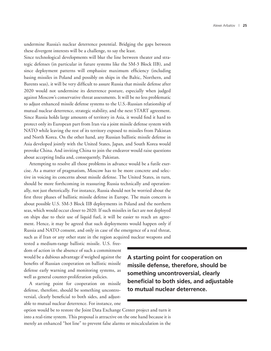undermine Russia's nuclear deterrence potential. Bridging the gaps between these divergent interests will be a challenge, to say the least.

Since technological developments will blur the line between theater and strategic defenses (in particular in future systems like the SM-3 Block IIB), and since deployment patterns will emphasize maximum efficiency (including basing missiles in Poland and possibly on ships in the Baltic, Northern, and Barents seas), it will be very difficult to assure Russia that missile defense after 2020 would not undermine its deterrence posture, especially when judged against Moscow's conservative threat assessments. It will be no less problematic to adjust enhanced missile defense systems to the U.S.-Russian relationship of mutual nuclear deterrence, strategic stability, and the next START agreement. Since Russia holds large amounts of territory in Asia, it would find it hard to protect only its European part from Iran via a joint missile defense system with NATO while leaving the rest of its territory exposed to missiles from Pakistan and North Korea. On the other hand, any Russian ballistic missile defense in Asia developed jointly with the United States, Japan, and South Korea would provoke China. And inviting China to join the endeavor would raise questions about accepting India and, consequently, Pakistan.

Attempting to resolve all those problems in advance would be a futile exercise. As a matter of pragmatism, Moscow has to be more concrete and selective in voicing its concerns about missile defense. The United States, in turn, should be more forthcoming in reassuring Russia technically and operationally, not just rhetorically. For instance, Russia should not be worried about the first three phases of ballistic missile defense in Europe. The main concern is about possible U.S. SM-3 Block IIB deployments in Poland and the northern seas, which would occur closer to 2020. If such missiles in fact are not deployed on ships due to their use of liquid fuel, it will be easier to reach an agreement. Hence, it may be agreed that such deployments would happen only if Russia and NATO consent, and only in case of the emergence of a real threat, such as if Iran or any other state in the region acquired nuclear weapons and

tested a medium-range ballistic missile. U.S. freedom of action in the absence of such a commitment would be a dubious advantage if weighed against the benefits of Russian cooperation on ballistic missile defense early warning and monitoring systems, as well as general counter-proliferation policies.

A starting point for cooperation on missile defense, therefore, should be something uncontroversial, clearly beneficial to both sides, and adjustable to mutual nuclear deterrence. For instance, one **A starting point for cooperation on missile defense, therefore, should be something uncontroversial, clearly beneficial to both sides, and adjustable to mutual nuclear deterrence.**

option would be to restore the Joint Data Exchange Center project and turn it into a real-time system. This proposal is attractive on the one hand because it is merely an enhanced "hot line" to prevent false alarms or miscalculation in the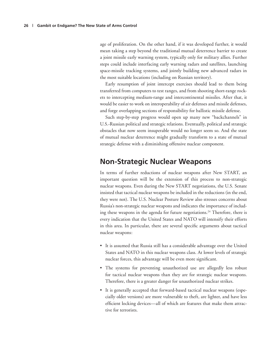age of proliferation. On the other hand, if it was developed further, it would mean taking a step beyond the traditional mutual deterrence barrier to create a joint missile early warning system, typically only for military allies. Further steps could include interfacing early warning radars and satellites, launching space-missile tracking systems, and jointly building new advanced radars in the most suitable locations (including on Russian territory).

Early resumption of joint intercept exercises should lead to them being transferred from computers to test ranges, and from shooting short-range rockets to intercepting medium-range and intercontinental missiles. After that, it would be easier to work on interoperability of air defenses and missile defenses, and forge overlapping sections of responsibility for ballistic missile defense.

Such step-by-step progress would open up many new "backchannels" in U.S.-Russian political and strategic relations. Eventually, political and strategic obstacles that now seem insuperable would no longer seem so. And the state of mutual nuclear deterrence might gradually transform to a state of mutual strategic defense with a diminishing offensive nuclear component.

### **Non-Strategic Nuclear Weapons**

In terms of further reductions of nuclear weapons after New START, an important question will be the extension of this process to non-strategic nuclear weapons. Even during the New START negotiations, the U.S. Senate insisted that tactical nuclear weapons be included in the reductions (in the end, they were not). The U.S. Nuclear Posture Review also stresses concerns about Russia's non-strategic nuclear weapons and indicates the importance of including these weapons in the agenda for future negotiations.<sup>24</sup> Therefore, there is every indication that the United States and NATO will intensify their efforts in this area. In particular, there are several specific arguments about tactical nuclear weapons:

- • It is assumed that Russia still has a considerable advantage over the United States and NATO in this nuclear weapons class. At lower levels of strategic nuclear forces, this advantage will be even more significant.
- • The systems for preventing unauthorized use are allegedly less robust for tactical nuclear weapons than they are for strategic nuclear weapons. Therefore, there is a greater danger for unauthorized nuclear strikes.
- It is generally accepted that forward-based tactical nuclear weapons (especially older versions) are more vulnerable to theft, are lighter, and have less efficient locking devices—all of which are features that make them attractive for terrorists.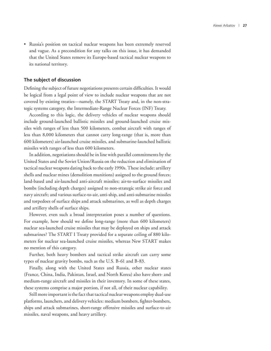• Russia's position on tactical nuclear weapons has been extremely reserved and vague. As a precondition for any talks on this issue, it has demanded that the United States remove its Europe-based tactical nuclear weapons to its national territory.

#### **The subject of discussion**

Defining the subject of future negotiations presents certain difficulties. It would be logical from a legal point of view to include nuclear weapons that are not covered by existing treaties—namely, the START Treaty and, in the non-strategic systems category, the Intermediate-Range Nuclear Forces (INF) Treaty.

According to this logic, the delivery vehicles of nuclear weapons should include ground-launched ballistic missiles and ground-launched cruise missiles with ranges of less than 500 kilometers, combat aircraft with ranges of less than 8,000 kilometers that cannot carry long-range (that is, more than 600 kilometers) air-launched cruise missiles, and submarine-launched ballistic missiles with ranges of less than 600 kilometers.

In addition, negotiations should be in line with parallel commitments by the United States and the Soviet Union/Russia on the reduction and elimination of tactical nuclear weapons dating back to the early 1990s. These include: artillery shells and nuclear mines (demolition munitions) assigned to the ground forces; land-based and air-launched anti-aircraft missiles; air-to-surface missiles and bombs (including depth charges) assigned to non-strategic strike air force and navy aircraft; and various surface-to-air, anti-ship, and anti-submarine missiles and torpedoes of surface ships and attack submarines, as well as depth charges and artillery shells of surface ships.

However, even such a broad interpretation poses a number of questions. For example, how should we define long-range (more than 600 kilometers) nuclear sea-launched cruise missiles that may be deployed on ships and attack submarines? The START I Treaty provided for a separate ceiling of 880 kilometers for nuclear sea-launched cruise missiles, whereas New START makes no mention of this category.

Further, both heavy bombers and tactical strike aircraft can carry some types of nuclear gravity bombs, such as the U.S. B-61 and B-83.

Finally, along with the United States and Russia, other nuclear states (France, China, India, Pakistan, Israel, and North Korea) also have short- and medium-range aircraft and missiles in their inventory. In some of these states, these systems comprise a major portion, if not all, of their nuclear capability.

Still more important is the fact that tactical nuclear weapons employ dual-use platforms, launchers, and delivery vehicles: medium bombers, fighter-bombers, ships and attack submarines, short-range offensive missiles and surface-to-air missiles, naval weapons, and heavy artillery.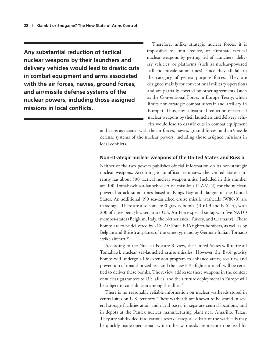**Any substantial reduction of tactical nuclear weapons by their launchers and delivery vehicles would lead to drastic cuts in combat equipment and arms associated with the air forces, navies, ground forces, and air/missile defense systems of the nuclear powers, including those assigned missions in local conflicts.**

Therefore, unlike strategic nuclear forces, it is impossible to limit, reduce, or eliminate tactical nuclear weapons by getting rid of launchers, delivery vehicles, or platforms (such as nuclear-powered ballistic missile submarines), since they all fall in the category of general-purpose forces. They are designed mainly for conventional military operations and are partially covered by other agreements (such as the Conventional Forces in Europe Treaty, which limits non-strategic combat aircraft and artillery in Europe). Thus, any substantial reduction of tactical nuclear weapons by their launchers and delivery vehicles would lead to drastic cuts in combat equipment

and arms associated with the air forces, navies, ground forces, and air/missile defense systems of the nuclear powers, including those assigned missions in local conflicts.

#### **Non-strategic nuclear weapons of the United States and Russia**

Neither of the two powers publishes official information on its non-strategic nuclear weapons. According to unofficial estimates, the United States currently has about 500 tactical nuclear weapon units. Included in this number are 100 Tomahawk sea-launched cruise missiles (TLAM-N) for the nuclearpowered attack submarines based at Kings Bay and Bangor in the United States. An additional 190 sea-launched cruise missile warheads (W80-0) are in storage. There are also some 400 gravity bombs (B-61-3 and B-61-4), with 200 of these being located at six U.S. Air Force special storages in five NATO member-states (Belgium, Italy, the Netherlands, Turkey, and Germany). These bombs are to be delivered by U.S. Air Force F-16 fighter-bombers, as well as by Belgian and British airplanes of the same type and by German-Italian Tornado strike aircraft.<sup>25</sup>

According to the Nuclear Posture Review, the United States will retire all Tomahawk nuclear sea-launched cruise missiles. However the B-61 gravity bombs will undergo a life extension program to enhance safety, security, and prevention of unauthorized use, and the new F-35 fighter aircraft will be certified to deliver these bombs. The review addresses these weapons in the context of nuclear guarantees to U.S. allies, and their future deployment in Europe will be subject to consultation among the allies.<sup>26</sup>

There is no reasonably reliable information on nuclear warheads stored in central sites on U.S. territory. These warheads are known to be stored in several storage facilities at air and naval bases, in separate central locations, and in depots at the Pantex nuclear manufacturing plant near Amarillo, Texas. They are subdivided into various reserve categories: Part of the warheads may be quickly made operational, while other warheads are meant to be used for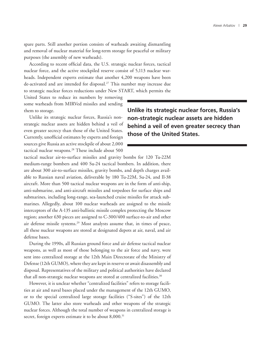spare parts. Still another portion consists of warheads awaiting dismantling and removal of nuclear material for long-term storage for peaceful or military purposes (the assembly of new warheads).

According to recent official data, the U.S. strategic nuclear forces, tactical nuclear force, and the active stockpiled reserve consist of 5,113 nuclear warheads. Independent experts estimate that another 4,200 weapons have been de-activated and are intended for disposal.<sup>27</sup> This number may increase due to strategic nuclear forces reductions under New START, which permits the

United States to reduce its numbers by removing some warheads from MIRVed missiles and sending them to storage.

Unlike its strategic nuclear forces, Russia's nonstrategic nuclear assets are hidden behind a veil of even greater secrecy than those of the United States. Currently, unofficial estimates by experts and foreign sources give Russia an active stockpile of about 2,000 tactical nuclear weapons.<sup>28</sup> These include about 500

**Unlike its strategic nuclear forces, Russia's non-strategic nuclear assets are hidden behind a veil of even greater secrecy than those of the United States.**

tactical nuclear air-to-surface missiles and gravity bombs for 120 Tu-22M medium-range bombers and 400 Su-24 tactical bombers. In addition, there are about 300 air-to-surface missiles, gravity bombs, and depth charges available to Russian naval aviation, deliverable by 180 Tu-22M, Su-24, and Il-38 aircraft. More than 500 tactical nuclear weapons are in the form of anti-ship, anti-submarine, and anti-aircraft missiles and torpedoes for surface ships and submarines, including long-range, sea-launched cruise missiles for attack submarines. Allegedly, about 100 nuclear warheads are assigned to the missile interceptors of the A-135 anti-ballistic missile complex protecting the Moscow region; another 630 pieces are assigned to C-300/400 surface-to-air and other air defense missile systems.<sup>29</sup> Most analysts assume that, in times of peace, all these nuclear weapons are stored at designated depots at air, naval, and air defense bases.

During the 1990s, all Russian ground force and air defense tactical nuclear weapons, as well as most of those belonging to the air force and navy, were sent into centralized storage at the 12th Main Directorate of the Ministry of Defense (12th GUMO), where they are kept in reserve or await disassembly and disposal. Representatives of the military and political authorities have declared that all non-strategic nuclear weapons are stored at centralized facilities.<sup>30</sup>

However, it is unclear whether "centralized facilities" refers to storage facilities at air and naval bases placed under the management of the 12th GUMO, or to the special centralized large storage facilities ("S-sites") of the 12th GUMO. The latter also store warheads and other weapons of the strategic nuclear forces. Although the total number of weapons in centralized storage is secret, foreign experts estimate it to be about 8,000.<sup>31</sup>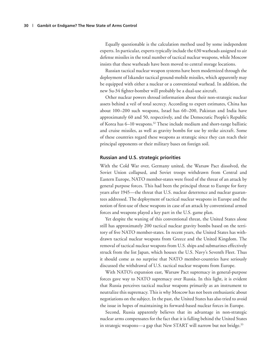Equally questionable is the calculation method used by some independent experts. In particular, experts typically include the 630 warheads assigned to air defense missiles in the total number of tactical nuclear weapons, while Moscow insists that these warheads have been moved to central storage locations.

Russian tactical nuclear weapon systems have been modernized through the deployment of Iskander tactical ground-mobile missiles, which apparently may be equipped with either a nuclear or a conventional warhead. In addition, the new Su-34 fighter-bomber will probably be a dual-use aircraft.

Other nuclear powers shroud information about their non-strategic nuclear assets behind a veil of total secrecy. According to expert estimates, China has about 100–200 such weapons, Israel has 60–200, Pakistan and India have approximately 60 and 50, respectively, and the Democratic People's Republic of Korea has 6–10 weapons.32 These include medium and short-range ballistic and cruise missiles, as well as gravity bombs for use by strike aircraft. Some of these countries regard these weapons as strategic since they can reach their principal opponents or their military bases on foreign soil.

#### **Russian and U.S. strategic priorities**

With the Cold War over, Germany united, the Warsaw Pact dissolved, the Soviet Union collapsed, and Soviet troops withdrawn from Central and Eastern Europe, NATO member-states were freed of the threat of an attack by general purpose forces. This had been the principal threat to Europe for forty years after 1945—the threat that U.S. nuclear deterrence and nuclear guarantees addressed. The deployment of tactical nuclear weapons in Europe and the notion of first-use of these weapons in case of an attack by conventional armed forces and weapons played a key part in the U.S. game plan.

Yet despite the waning of this conventional threat, the United States alone still has approximately 200 tactical nuclear gravity bombs based on the territory of five NATO member-states. In recent years, the United States has withdrawn tactical nuclear weapons from Greece and the United Kingdom. The removal of tactical nuclear weapons from U.S. ships and submarines effectively struck from the list Japan, which houses the U.S. Navy's Seventh Fleet. Thus it should come as no surprise that NATO member-countries have seriously discussed the withdrawal of U.S. tactical nuclear weapons from Europe.

With NATO's expansion east, Warsaw Pact supremacy in general-purpose forces gave way to NATO supremacy over Russia. In this light, it is evident that Russia perceives tactical nuclear weapons primarily as an instrument to neutralize this supremacy. This is why Moscow has not been enthusiastic about negotiations on the subject. In the past, the United States has also tried to avoid the issue in hopes of maintaining its forward-based nuclear forces in Europe.

Second, Russia apparently believes that its advantage in non-strategic nuclear arms compensates for the fact that it is falling behind the United States in strategic weapons—a gap that New START will narrow but not bridge. $^{\rm 33}$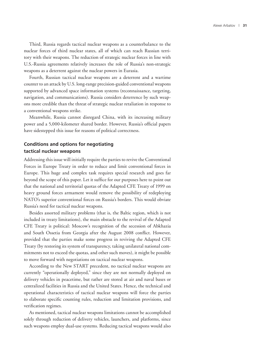Third, Russia regards tactical nuclear weapons as a counterbalance to the nuclear forces of third nuclear states, all of which can reach Russian territory with their weapons. The reduction of strategic nuclear forces in line with U.S.-Russia agreements relatively increases the role of Russia's non-strategic weapons as a deterrent against the nuclear powers in Eurasia.

Fourth, Russian tactical nuclear weapons are a deterrent and a wartime counter to an attack by U.S. long-range precision-guided conventional weapons supported by advanced space information systems (reconnaissance, targeting, navigation, and communications). Russia considers deterrence by such weapons more credible than the threat of strategic nuclear retaliation in response to a conventional weapons strike.

Meanwhile, Russia cannot disregard China, with its increasing military power and a 5,000-kilometer shared border. However, Russia's official papers have sidestepped this issue for reasons of political correctness.

#### **Conditions and options for negotiating tactical nuclear weapons**

Addressing this issue will initially require the parties to revive the Conventional Forces in Europe Treaty in order to reduce and limit conventional forces in Europe. This huge and complex task requires special research and goes far beyond the scope of this paper. Let it suffice for our purposes here to point out that the national and territorial quotas of the Adapted CFE Treaty of 1999 on heavy ground forces armament would remove the possibility of redeploying NATO's superior conventional forces on Russia's borders. This would obviate Russia's need for tactical nuclear weapons.

Besides assorted military problems (that is, the Baltic region, which is not included in treaty limitations), the main obstacle to the revival of the Adapted CFE Treaty is political: Moscow's recognition of the secession of Abkhazia and South Ossetia from Georgia after the August 2008 conflict. However, provided that the parties make some progress in reviving the Adapted CFE Treaty (by restoring its system of transparency, taking unilateral national commitments not to exceed the quotas, and other such moves), it might be possible to move forward with negotiations on tactical nuclear weapons.

According to the New START precedent, no tactical nuclear weapons are currently "operationally deployed," since they are not normally deployed on delivery vehicles in peacetime, but rather are stored at air and naval bases or centralized facilities in Russia and the United States. Hence, the technical and operational characteristics of tactical nuclear weapons will force the parties to elaborate specific counting rules, reduction and limitation provisions, and verification regimes.

As mentioned, tactical nuclear weapons limitations cannot be accomplished solely through reduction of delivery vehicles, launchers, and platforms, since such weapons employ dual-use systems. Reducing tactical weapons would also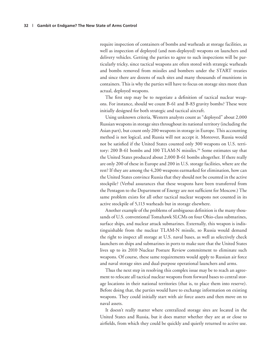require inspection of containers of bombs and warheads at storage facilities, as well as inspection of deployed (and non-deployed) weapons on launchers and delivery vehicles. Getting the parties to agree to such inspections will be particularly tricky, since tactical weapons are often stored with strategic warheads and bombs removed from missiles and bombers under the START treaties and since there are dozens of such sites and many thousands of munitions in containers. This is why the parties will have to focus on storage sites more than actual, deployed weapons.

The first step may be to negotiate a definition of tactical nuclear weapons. For instance, should we count B-61 and B-83 gravity bombs? These were initially designed for both strategic and tactical aircraft.

Using unknown criteria, Western analysts count as "deployed" about 2,000 Russian weapons in storage sites throughout its national territory (including the Asian part), but count only 200 weapons in storage in Europe. This accounting method is not logical, and Russia will not accept it. Moreover, Russia would not be satisfied if the United States counted only 300 weapons on U.S. territory: 200 B-61 bombs and 100 TLAM-N missiles.<sup>34</sup> Some estimates say that the United States produced about 2,000 B-61 bombs altogether. If there really are only 200 of these in Europe and 200 in U.S. storage facilities, where are the rest? If they are among the 4,200 weapons earmarked for elimination, how can the United States convince Russia that they should not be counted in the active stockpile? (Verbal assurances that these weapons have been transferred from the Pentagon to the Department of Energy are not sufficient for Moscow.) The same problem exists for all other tactical nuclear weapons not counted in its active stockpile of 5,113 warheads but in storage elsewhere.

Another example of the problems of ambiguous definition is the many thousands of U.S. conventional Tomahawk SLCMs on four Ohio-class submarines, surface ships, and nuclear attack submarines. Externally, this weapon is indistinguishable from the nuclear TLAM-N missile, so Russia would demand the right to inspect all storage at U.S. naval bases, as well as selectively check launchers on ships and submarines in ports to make sure that the United States lives up to its 2010 Nuclear Posture Review commitment to eliminate such weapons. Of course, these same requirements would apply to Russian air force and naval storage sites and dual-purpose operational launchers and arms.

Thus the next step in resolving this complex issue may be to reach an agreement to relocate all tactical nuclear weapons from forward bases to central storage locations in their national territories (that is, to place them into reserve). Before doing that, the parties would have to exchange information on existing weapons. They could initially start with air force assets and then move on to naval assets.

It doesn't really matter where centralized storage sites are located in the United States and Russia, but it does matter whether they are at or close to airfields, from which they could be quickly and quietly returned to active use.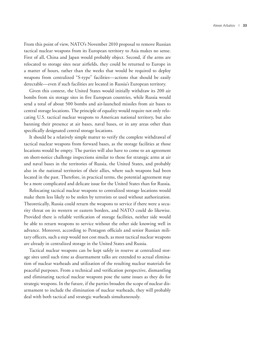From this point of view, NATO's November 2010 proposal to remove Russian tactical nuclear weapons from its European territory to Asia makes no sense. First of all, China and Japan would probably object. Second, if the arms are relocated to storage sites near airfields, they could be returned to Europe in a matter of hours, rather than the weeks that would be required to deploy weapons from centralized "S-type" facilities—actions that should be easily detectable—even if such facilities are located in Russia's European territory.

Given this context, the United States would initially withdraw its 200 air bombs from six storage sites in five European countries, while Russia would send a total of about 500 bombs and air-launched missiles from air bases to central storage locations. The principle of equality would require not only relocating U.S. tactical nuclear weapons to American national territory, but also banning their presence at air bases, naval bases, or in any areas other than specifically designated central storage locations.

It should be a relatively simple matter to verify the complete withdrawal of tactical nuclear weapons from forward bases, as the storage facilities at those locations would be empty. The parties will also have to come to an agreement on short-notice challenge inspections similar to those for strategic arms at air and naval bases in the territories of Russia, the United States, and probably also in the national territories of their allies, where such weapons had been located in the past. Therefore, in practical terms, the potential agreement may be a more complicated and delicate issue for the United States than for Russia.

Relocating tactical nuclear weapons to centralized storage locations would make them less likely to be stolen by terrorists or used without authorization. Theoretically, Russia could return the weapons to service if there were a security threat on its western or eastern borders, and NATO could do likewise. Provided there is reliable verification of storage facilities, neither side would be able to return weapons to service without the other side knowing well in advance. Moreover, according to Pentagon officials and senior Russian military officers, such a step would not cost much, as most tactical nuclear weapons are already in centralized storage in the United States and Russia.

Tactical nuclear weapons can be kept safely in reserve at centralized storage sites until such time as disarmament talks are extended to actual elimination of nuclear warheads and utilization of the resulting nuclear materials for peaceful purposes. From a technical and verification perspective, dismantling and eliminating tactical nuclear weapons pose the same issues as they do for strategic weapons. In the future, if the parties broaden the scope of nuclear disarmament to include the elimination of nuclear warheads, they will probably deal with both tactical and strategic warheads simultaneously.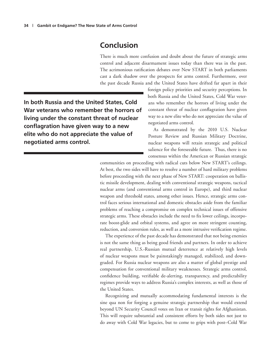## **Conclusion**

There is much more confusion and doubt about the future of strategic arms control and adjacent disarmament issues today than there was in the past. The acrimonious ratification debates over New START in both parliaments cast a dark shadow over the prospects for arms control. Furthermore, over the past decade Russia and the United States have drifted far apart in their

**In both Russia and the United States, Cold War veterans who remember the horrors of living under the constant threat of nuclear conflagration have given way to a new elite who do not appreciate the value of negotiated arms control.**

foreign policy priorities and security perceptions. In both Russia and the United States, Cold War veterans who remember the horrors of living under the constant threat of nuclear conflagration have given way to a new elite who do not appreciate the value of negotiated arms control.

As demonstrated by the 2010 U.S. Nuclear Posture Review and Russian Military Doctrine, nuclear weapons will retain strategic and political salience for the foreseeable future. Thus, there is no consensus within the American or Russian strategic

communities on proceeding with radical cuts below New START's ceilings. At best, the two sides will have to resolve a number of hard military problems before proceeding with the next phase of New START: cooperation on ballistic missile development, dealing with conventional strategic weapons, tactical nuclear arms (and conventional arms control in Europe), and third nuclear weapon and threshold states, among other issues. Hence, strategic arms control faces serious international and domestic obstacles aside from the familiar problems of reaching a compromise on complex technical issues of offensive strategic arms. These obstacles include the need to fix lower ceilings, incorporate boost-glide and orbital systems, and agree on more stringent counting, reduction, and conversion rules, as well as a more intrusive verification regime.

The experience of the past decade has demonstrated that not being enemies is not the same thing as being good friends and partners. In order to achieve real partnership, U.S.-Russian mutual deterrence at relatively high levels of nuclear weapons must be painstakingly managed, stabilized, and downgraded. For Russia nuclear weapons are also a matter of global prestige and compensation for conventional military weaknesses. Strategic arms control, confidence building, verifiable de-alerting, transparency, and predictability regimes provide ways to address Russia's complex interests, as well as those of the United States.

Recognizing and mutually accommodating fundamental interests is the sine qua non for forging a genuine strategic partnership that would extend beyond UN Security Council votes on Iran or transit rights for Afghanistan. This will require substantial and consistent efforts by both sides not just to do away with Cold War legacies, but to come to grips with post–Cold War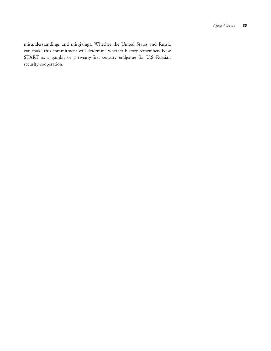misunderstandings and misgivings. Whether the United States and Russia can make this commitment will determine whether history remembers New START as a gambit or a twenty-first century endgame for U.S.-Russian security cooperation.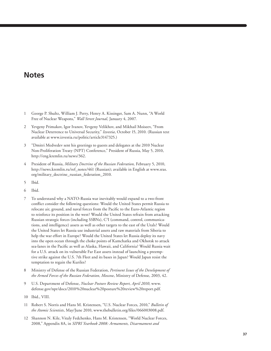#### **Notes**

- 1 George P. Shultz, William J. Perry, Henry A. Kissinger, Sam A. Nunn, "A World Free of Nuclear Weapons," *Wall Street Journal,* January 4, 2007.
- 2 Yevgeny Primakov, Igor Ivanov, Yevgeny Velikhov, and Mikhail Moiseev, "From Nuclear Deterrence to Universal Security," *Izvestia*, October 15, 2010. (Russian text available at www.izvestia.ru/politic/article3147325.)
- 3 "Dmitri Medvedev sent his greetings to guests and delegates at the 2010 Nuclear Non-Proliferation Treaty (NPT) Conference," President of Russia, May 5, 2010, http://eng.kremlin.ru/news/362.
- 4 President of Russia, *Military Doctrine of the Russian Federation,* February 5, 2010, http://news.kremlin.ru/ref\_notes/461 (Russian); available in English at www.sras. org/military\_doctrine\_russian\_federation\_2010.
- 5 Ibid.
- 6 Ibid.
- 7 To understand why a NATO-Russia war inevitably would expand to a two-front conflict consider the following questions: Would the United States permit Russia to relocate air, ground, and naval forces from the Pacific to the Euro-Atlantic region to reinforce its position in the west? Would the United States refrain from attacking Russian strategic forces (including SSBNs), C<sup>3</sup>I (command, control, communications, and intelligence) assets as well as other targets to the east of the Urals? Would the United States let Russia use industrial assets and raw materials from Siberia to help the war effort in Europe? Would the United States let Russia deploy its navy into the open ocean through the choke points of Kamchatka and Okhotsk to attack sea-lanes in the Pacific as well as Alaska, Hawaii, and California? Would Russia wait for a U.S. attack on its vulnerable Far East assets instead of launching a preemptive strike against the U.S. 7th Fleet and its bases in Japan? Would Japan resist the temptation to regain the Kuriles?
- 8 Ministry of Defense of the Russian Federation, *Pertinent Issues of the Development of the Armed Forces of the Russian Federation, Moscow*, Ministry of Defense, 2003, 42.
- 9 U.S. Department of Defense, *Nuclear Posture Review Report, April 2010*, www. defense.gov/npr/docs/2010%20nuclear%20posture%20review%20report.pdf.
- 10 Ibid., VIII.
- 11 Robert S. Norris and Hans M. Kristensen, "U.S. Nuclear Forces, 2010," *Bulletin of the Atomic Scientists*, May/June 2010, www.thebulletin.org/files/066003008.pdf.
- 12 Shannon N. Kile, Vitaly Fedchenko, Hans M. Kristensen, "World Nuclear Forces, 2008," Appendix 8A, in *SIPRI Yearbook 2008: Armaments, Disarmament and*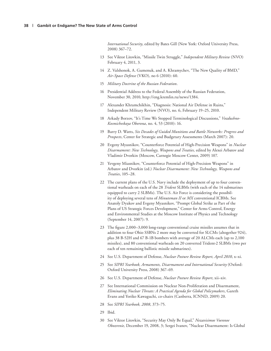*International Security*, edited by Bates Gill (New York: Oxford University Press, 2008) 367–72.

- 13 See Viktor Litovkin, "Missile Twin Struggle," *Independent Military Review* (NVO) February 4, 2011, 3.
- 14 Z. Valshonok, A. Gumenuk, and A. Khramychev, "The New Quality of BMD," *Air-Space Defense* (VKO), no 6 (2010): 60.
- 15 *Military Doctrine of the Russian Federation*.
- 16 Presidential Address to the Federal Assembly of the Russian Federation, November 30, 2010, http://eng.kremlin.ru/news/1384.
- 17 Alexander Khramchikhin, "Diagnosis: National Air Defense in Ruins," Independent Military Review (NVO), no. 6, February 19–25, 2010.
- 18 Arkady Borzov, "It's Time We Stopped Terminological Discussions," *Vozdushno-Kosmicheskaya Oborona*, no. 4, 53 (2010): 16.
- 19 Barry D. Watts, *Six Decades of Guided Munitions and Battle Networks: Progress and Prospects*, Center for Strategic and Budgetary Assessments (March 2007): 20.
- 20 Evgeny Myasnikov, "Counterforce Potential of High-Precision Weapons" in *Nuclear Disarmament: New Technology, Weapons and Treaties,* edited by Alexei Arbatov and Vladimir Dvorkin (Moscow, Carnegie Moscow Center, 2009) 107.
- 21 Yevgeny Miasnikov, "Counterforce Potential of High-Precision Weapons" in Arbatov and Dvorkin (ed.) *Nuclear Disarmament: New Technology, Weapons and Treaties*, 105–28.
- 22 The current plans of the U.S. Navy include the deployment of up to four conventional warheads on each of the 28 *Trident* SLBMs (with each of the 14 submarines equipped to carry 2 SLBMs). The U.S. Air Force is considering the possibility of deploying several tens of *Minuteman II* or *MX* conventional ICBMs. See Anatoly Dyakov and Evgeny Myasnikov, "Prompt Global Strike as Part of the Plans of US Strategic Forces Development," Center for Arms Control, Energy and Environmental Studies at the Moscow Institute of Physics and Technology (September 14, 2007): 9.
- 23 The figure 2,000–3,000 long-range conventional cruise missiles assumes that in addition to four Ohio SSBNs 2 more may be converted for SLCMs (altogether 924), plus 38 B-52H and 67 B-1B bombers with average of 20 ALCMs each (up to 2,100 missiles), and 80 conventional warheads on 20 converted Trident-2 SLBMs (two per each of ten remaining ballistic missile submarines).
- 24 See U.S. Department of Defense, *Nuclear Posture Review Report, April 2010*, x–xi.
- 25 See *SIPRI Yearbook, Armaments, Disarmament and International Security* (Oxford: Oxford University Press, 2008) 367−69.
- 26 See U.S. Department of Defense, *Nuclear Posture Review Report*, xii–xiv.
- 27 See International Commission on Nuclear Non-Proliferation and Disarmament, *Eliminating Nuclear Threats: A Practical Agenda for Global Policymakers*, Gareth Evans and Yoriko Kawaguchi, co-chairs (Canberra, ICNND, 2009) 20.
- 28 See *SIPRI Yearbook, 2008*, 373−75.
- 29 Ibid.
- 30 See Viktor Litovkin, "Security May Only Be Equal," *Nezavisimoe Voennoe Obozrenie,* December 19, 2008, 3; Sergei Ivanov, "Nuclear Disarmament: Is Global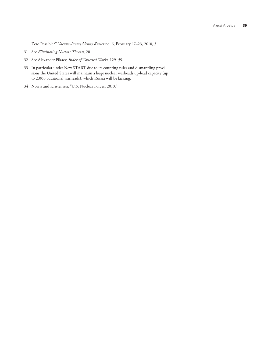Zero Possible?" *Voenno-Promyshlenny Kurier* no. 6, February 17–23, 2010, 3.

- 31 See *Eliminating Nuclear Threats*, 20.
- 32 See Alexander Pikaev, *Index of Collected Works*, 129–59.
- 33 In particular under New START due to its counting rules and dismantling provisions the United States will maintain a huge nuclear warheads up-load capacity (up to 2,000 additional warheads), which Russia will be lacking.
- 34 Norris and Kristensen, "U.S. Nuclear Forces, 2010."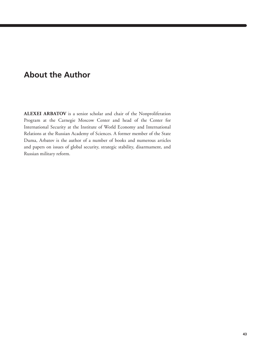## **About the Author**

**Alexei ARBATov** is a senior scholar and chair of the Nonproliferation Program at the Carnegie Moscow Center and head of the Center for International Security at the Institute of World Economy and International Relations at the Russian Academy of Sciences. A former member of the State Duma, Arbatov is the author of a number of books and numerous articles and papers on issues of global security, strategic stability, disarmament, and Russian military reform.